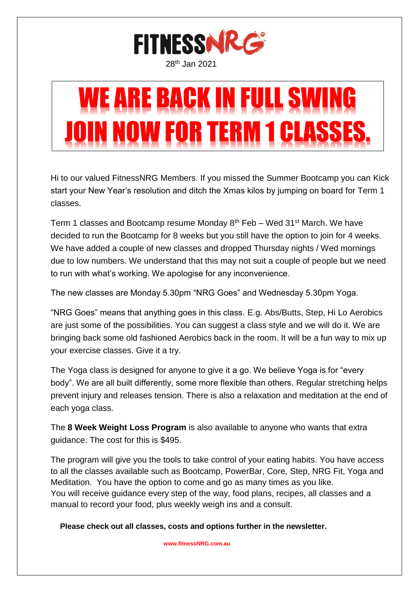

# WE ARE BACK IN FULL SWING FOR TERM 1 CLAS

Hi to our valued FitnessNRG Members. If you missed the Summer Bootcamp you can Kick start your New Year's resolution and ditch the Xmas kilos by jumping on board for Term 1 classes.

Term 1 classes and Bootcamp resume Monday  $8<sup>th</sup>$  Feb – Wed 31<sup>st</sup> March. We have decided to run the Bootcamp for 8 weeks but you still have the option to join for 4 weeks. We have added a couple of new classes and dropped Thursday nights / Wed mornings due to low numbers. We understand that this may not suit a couple of people but we need to run with what's working. We apologise for any inconvenience.

The new classes are Monday 5.30pm "NRG Goes" and Wednesday 5.30pm Yoga.

"NRG Goes" means that anything goes in this class. E.g. Abs/Butts, Step, Hi Lo Aerobics are just some of the possibilities. You can suggest a class style and we will do it. We are bringing back some old fashioned Aerobics back in the room. It will be a fun way to mix up your exercise classes. Give it a try.

The Yoga class is designed for anyone to give it a go. We believe Yoga is for "every body". We are all built differently, some more flexible than others. Regular stretching helps prevent injury and releases tension. There is also a relaxation and meditation at the end of each yoga class.

The **8 Week Weight Loss Program** is also available to anyone who wants that extra guidance. The cost for this is \$495.

The program will give you the tools to take control of your eating habits. You have access to all the classes available such as Bootcamp, PowerBar, Core, Step, NRG Fit, Yoga and Meditation. You have the option to come and go as many times as you like. You will receive guidance every step of the way, food plans, recipes, all classes and a manual to record your food, plus weekly weigh ins and a consult.

 **Please check out all classes, costs and options further in the newsletter.**

 **[www.fitnessNRG.com.au](http://www.fitnessnrg.com.au/)**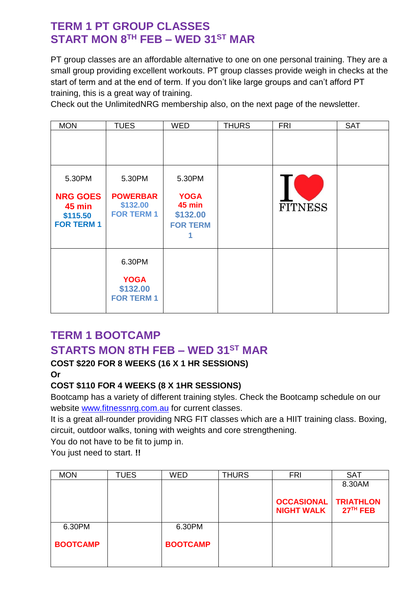# **TERM 1 PT GROUP CLASSES START MON 8 TH FEB – WED 31ST MAR**

PT group classes are an affordable alternative to one on one personal training. They are a small group providing excellent workouts. PT group classes provide weigh in checks at the start of term and at the end of term. If you don't like large groups and can't afford PT training, this is a great way of training.

Check out the UnlimitedNRG membership also, on the next page of the newsletter.

| <b>MON</b>                                                 | <b>TUES</b>                                      | <b>WED</b>                                                  | <b>THURS</b> | <b>FRI</b>     | <b>SAT</b> |
|------------------------------------------------------------|--------------------------------------------------|-------------------------------------------------------------|--------------|----------------|------------|
|                                                            |                                                  |                                                             |              |                |            |
| 5.30PM                                                     | 5.30PM                                           | 5.30PM                                                      |              |                |            |
| <b>NRG GOES</b><br>45 min<br>\$115.50<br><b>FOR TERM 1</b> | <b>POWERBAR</b><br>\$132.00<br><b>FOR TERM 1</b> | <b>YOGA</b><br><b>45 min</b><br>\$132.00<br><b>FOR TERM</b> |              | <b>FITNESS</b> |            |
|                                                            | 6.30PM                                           |                                                             |              |                |            |
|                                                            | <b>YOGA</b><br>\$132.00<br><b>FOR TERM 1</b>     |                                                             |              |                |            |

# **TERM 1 BOOTCAMP**

# **STARTS MON 8TH FEB – WED 31ST MAR**

## **COST \$220 FOR 8 WEEKS (16 X 1 HR SESSIONS)**

**Or**

## **COST \$110 FOR 4 WEEKS (8 X 1HR SESSIONS)**

Bootcamp has a variety of different training styles. Check the Bootcamp schedule on our website [www.fitnessnrg.com.au](http://www.fitnessnrg.com.au/) for current classes.

It is a great all-rounder providing NRG FIT classes which are a HIIT training class. Boxing, circuit, outdoor walks, toning with weights and core strengthening.

You do not have to be fit to jump in.

You just need to start. **!!**

| <b>MON</b>      | <b>TUES</b> | <b>WED</b>      | <b>THURS</b> | <b>FRI</b>        | <b>SAT</b>       |
|-----------------|-------------|-----------------|--------------|-------------------|------------------|
|                 |             |                 |              |                   | 8.30AM           |
|                 |             |                 |              |                   |                  |
|                 |             |                 |              | <b>OCCASIONAL</b> | <b>TRIATHLON</b> |
|                 |             |                 |              | <b>NIGHT WALK</b> | $27TH$ FEB       |
| 6.30PM          |             | 6.30PM          |              |                   |                  |
|                 |             |                 |              |                   |                  |
| <b>BOOTCAMP</b> |             | <b>BOOTCAMP</b> |              |                   |                  |
|                 |             |                 |              |                   |                  |
|                 |             |                 |              |                   |                  |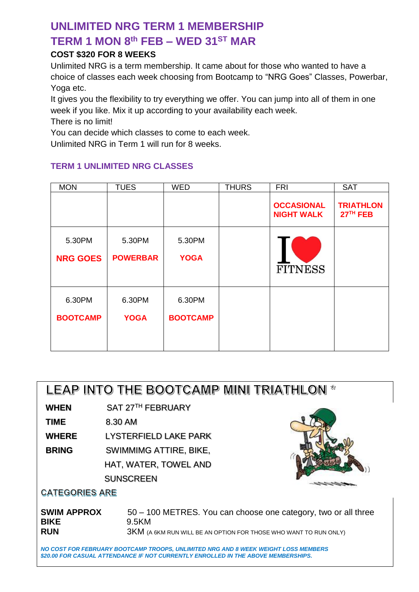# **UNLIMITED NRG TERM 1 MEMBERSHIP TERM 1 MON 8 th FEB – WED 31ST MAR**

## **COST \$320 FOR 8 WEEKS**

Unlimited NRG is a term membership. It came about for those who wanted to have a choice of classes each week choosing from Bootcamp to "NRG Goes" Classes, Powerbar, Yoga etc.

It gives you the flexibility to try everything we offer. You can jump into all of them in one week if you like. Mix it up according to your availability each week. There is no limit!

You can decide which classes to come to each week.

Unlimited NRG in Term 1 will run for 8 weeks.

## **TERM 1 UNLIMITED NRG CLASSES**

| <b>MON</b>                | <b>TUES</b>               | <b>WED</b>                | <b>THURS</b> | <b>FRI</b>                             | <b>SAT</b>                     |
|---------------------------|---------------------------|---------------------------|--------------|----------------------------------------|--------------------------------|
|                           |                           |                           |              | <b>OCCASIONAL</b><br><b>NIGHT WALK</b> | <b>TRIATHLON</b><br>$27TH$ FEB |
| 5.30PM<br><b>NRG GOES</b> | 5.30PM<br><b>POWERBAR</b> | 5.30PM<br><b>YOGA</b>     |              | <b>FITNESS</b>                         |                                |
| 6.30PM<br><b>BOOTCAMP</b> | 6.30PM<br><b>YOGA</b>     | 6.30PM<br><b>BOOTCAMP</b> |              |                                        |                                |

# LEAP INTO THE BOOTCAMP MINI TRIATHLON \*

**WHEN** SAT 27 TH FEBRUARY

**TIME** 8.30 AM

**WHERE** LYSTERFIELD LAKE PARK

**BRING** SWIMMIMG ATTIRE, BIKE,

HAT, WATER, TOWEL AND **SUNSCREEN** 



## **CATEGORIES ARE**

**SWIM APPROX** 50 – 100 METRES. You can choose one category, two or all three **BIKE** 9.5KM **RUN** 3KM (A 6KM RUN WILL BE AN OPTION FOR THOSE WHO WANT TO RUN ONLY)

*NO COST FOR FEBRUARY BOOTCAMP TROOPS, UNLIMITED NRG AND 8 WEEK WEIGHT LOSS MEMBERS \$20.00 FOR CASUAL ATTENDANCE IF NOT CURRENTLY ENROLLED IN THE ABOVE MEMBERSHIPS.*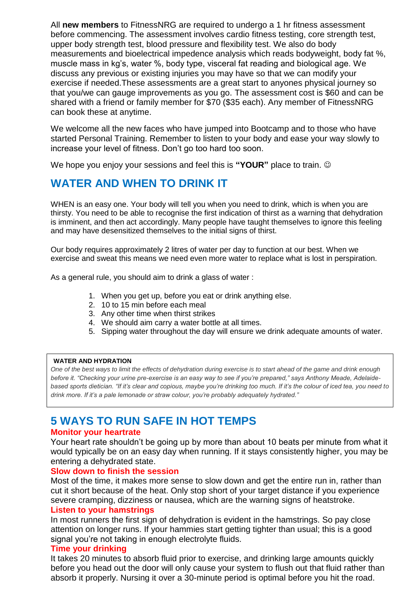All **new members** to FitnessNRG are required to undergo a 1 hr fitness assessment before commencing. The assessment involves cardio fitness testing, core strength test, upper body strength test, blood pressure and flexibility test. We also do body measurements and bioelectrical impedence analysis which reads bodyweight, body fat %, muscle mass in kg's, water %, body type, visceral fat reading and biological age. We discuss any previous or existing injuries you may have so that we can modify your exercise if needed.These assessments are a great start to anyones physical journey so that you/we can gauge improvements as you go. The assessment cost is \$60 and can be shared with a friend or family member for \$70 (\$35 each). Any member of FitnessNRG can book these at anytime.

We welcome all the new faces who have jumped into Bootcamp and to those who have started Personal Training. Remember to listen to your body and ease your way slowly to increase your level of fitness. Don't go too hard too soon.

We hope you enjoy your sessions and feel this is **"YOUR"** place to train.

# **WATER AND WHEN TO DRINK IT**

WHEN is an easy one. Your body will tell you when you need to drink, which is when you are thirsty. You need to be able to recognise the first indication of thirst as a warning that dehydration is imminent, and then act accordingly. Many people have taught themselves to ignore this feeling and may have desensitized themselves to the initial signs of thirst.

Our body requires approximately 2 litres of water per day to function at our best. When we exercise and sweat this means we need even more water to replace what is lost in perspiration.

As a general rule, you should aim to drink a glass of water :

- 1. When you get up, before you eat or drink anything else.
- 2. 10 to 15 min before each meal
- 3. Any other time when thirst strikes
- 4. We should aim carry a water bottle at all times.
- 5. Sipping water throughout the day will ensure we drink adequate amounts of water.

#### **WATER AND HYDRATION**

*One of the best ways to limit the effects of dehydration during exercise is to start ahead of the game and drink enough before it. "Checking your urine pre-exercise is an easy way to see if you're prepared," says Anthony Meade, Adelaidebased sports dietician. "If it's clear and copious, maybe you're drinking too much. If it's the colour of iced tea, you need to drink more. If it's a pale lemonade or straw colour, you're probably adequately hydrated."*

# **5 WAYS TO RUN SAFE IN HOT TEMPS**

#### **Monitor your heartrate**

Your heart rate shouldn't be going up by more than about 10 beats per minute from what it would typically be on an easy day when running. If it stays consistently higher, you may be entering a dehydrated state.

#### **Slow down to finish the session**

Most of the time, it makes more sense to slow down and get the entire run in, rather than cut it short because of the heat. Only stop short of your target distance if you experience severe cramping, dizziness or nausea, which are the warning signs of heatstroke.

#### **Listen to your hamstrings**

In most runners the first sign of dehydration is evident in the hamstrings. So pay close attention on longer runs. If your hammies start getting tighter than usual; this is a good signal you're not taking in enough electrolyte fluids.

#### **Time your drinking**

It takes 20 minutes to absorb fluid prior to exercise, and drinking large amounts quickly before you head out the door will only cause your system to flush out that fluid rather than absorb it properly. Nursing it over a 30-minute period is optimal before you hit the road.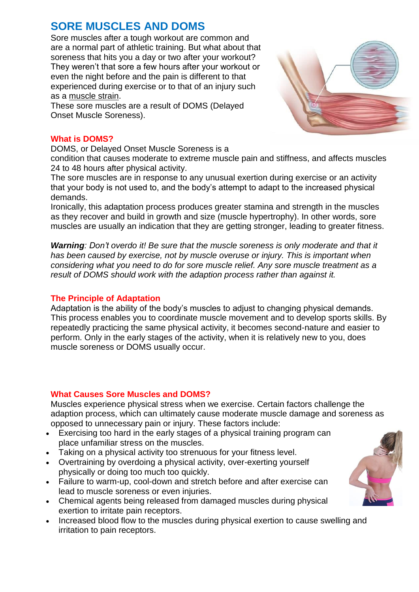# **SORE MUSCLES AND DOMS**

Sore muscles after a tough workout are common and are a normal part of athletic training. But what about that soreness that hits you a day or two after your workout? They weren't that sore a few hours after your workout or even the night before and the pain is different to that experienced during exercise or to that of an injury such as a [muscle](https://stretchcoach.com/articles/scar-tissue/) strain.

These sore muscles are a result of DOMS (Delayed Onset Muscle Soreness).

## **What is DOMS?**

DOMS, or Delayed Onset Muscle Soreness is a

condition that causes moderate to extreme muscle pain and stiffness, and affects muscles 24 to 48 hours after physical activity.

The sore muscles are in response to any unusual exertion during exercise or an activity that your body is not used to, and the body's attempt to adapt to the increased physical demands.

Ironically, this adaptation process produces greater stamina and strength in the muscles as they recover and build in growth and size (muscle hypertrophy). In other words, sore muscles are usually an indication that they are getting stronger, leading to greater fitness.

*Warning: Don't overdo it! Be sure that the muscle soreness is only moderate and that it has been caused by exercise, not by muscle overuse or injury. This is important when considering what you need to do for sore muscle relief. Any sore muscle treatment as a result of DOMS should work with the adaption process rather than against it.*

## **The Principle of Adaptation**

Adaptation is the ability of the body's muscles to adjust to changing physical demands. This process enables you to coordinate muscle movement and to develop sports skills. By repeatedly practicing the same physical activity, it becomes second-nature and easier to perform. Only in the early stages of the activity, when it is relatively new to you, does muscle soreness or DOMS usually occur.

## **What Causes Sore Muscles and DOMS?**

Muscles experience physical stress when we exercise. Certain factors challenge the adaption process, which can ultimately cause moderate muscle damage and soreness as opposed to unnecessary pain or injury. These factors include:

- Exercising too hard in the early stages of a physical training program can place unfamiliar stress on the muscles.
- Taking on a physical activity too strenuous for your fitness level.
- Overtraining by overdoing a physical activity, over-exerting yourself physically or doing too much too quickly.
- Failure to warm-up, cool-down and stretch before and after exercise can lead to muscle soreness or even injuries.
- Chemical agents being released from damaged muscles during physical exertion to irritate pain receptors.
- Increased blood flow to the muscles during physical exertion to cause swelling and irritation to pain receptors.



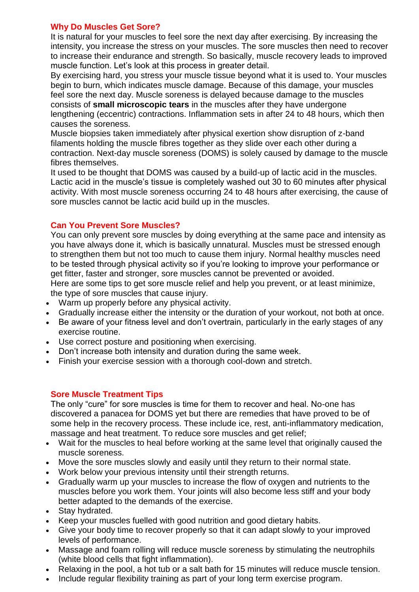#### **Why Do Muscles Get Sore?**

It is natural for your muscles to feel sore the next day after exercising. By increasing the intensity, you increase the stress on your muscles. The sore muscles then need to recover to increase their endurance and strength. So basically, muscle recovery leads to improved muscle function. Let's look at this process in greater detail.

By exercising hard, you stress your muscle tissue beyond what it is used to. Your muscles begin to burn, which indicates muscle damage. Because of this damage, your muscles feel sore the next day. Muscle soreness is delayed because damage to the muscles consists of **small microscopic tears** in the muscles after they have undergone lengthening (eccentric) contractions. Inflammation sets in after 24 to 48 hours, which then causes the soreness.

Muscle biopsies taken immediately after physical exertion show disruption of z-band filaments holding the muscle fibres together as they slide over each other during a contraction. Next-day muscle soreness (DOMS) is solely caused by damage to the muscle fibres themselves.

It used to be thought that DOMS was caused by a build-up of lactic acid in the muscles. Lactic acid in the muscle's tissue is completely washed out 30 to 60 minutes after physical activity. With most muscle soreness occurring 24 to 48 hours after exercising, the cause of sore muscles cannot be lactic acid build up in the muscles.

### **Can You Prevent Sore Muscles?**

You can only prevent sore muscles by doing everything at the same pace and intensity as you have always done it, which is basically unnatural. Muscles must be stressed enough to strengthen them but not too much to cause them injury. Normal healthy muscles need to be tested through physical activity so if you're looking to improve your performance or get fitter, faster and stronger, sore muscles cannot be prevented or avoided. Here are some tips to get sore muscle relief and help you prevent, or at least minimize, the type of sore muscles that cause injury.

- Warm up properly before any physical activity.
- Gradually increase either the intensity or the duration of your workout, not both at once.
- Be aware of your fitness level and don't overtrain, particularly in the early stages of any exercise routine.
- Use correct posture and positioning when exercising.
- Don't increase both intensity and duration during the same week.
- Finish your exercise session with a thorough cool-down and stretch.

## **Sore Muscle Treatment Tips**

The only "cure" for sore muscles is time for them to recover and heal. No-one has discovered a panacea for DOMS yet but there are remedies that have proved to be of some help in the recovery process. These include ice, rest, anti-inflammatory medication, massage and heat treatment. To reduce sore muscles and get relief;

- Wait for the muscles to heal before working at the same level that originally caused the muscle soreness.
- Move the sore muscles slowly and easily until they return to their normal state.
- Work below your previous intensity until their strength returns.
- Gradually warm up your muscles to increase the flow of oxygen and nutrients to the muscles before you work them. Your joints will also become less stiff and your body better adapted to the demands of the exercise.
- Stay hydrated.
- Keep your muscles fuelled with good nutrition and good dietary habits.
- Give your body time to recover properly so that it can adapt slowly to your improved levels of performance.
- Massage and foam rolling will reduce muscle soreness by stimulating the neutrophils (white blood cells that fight inflammation).
- Relaxing in the pool, a hot tub or a salt bath for 15 minutes will reduce muscle tension.
- Include regular flexibility training as part of your long term exercise program.